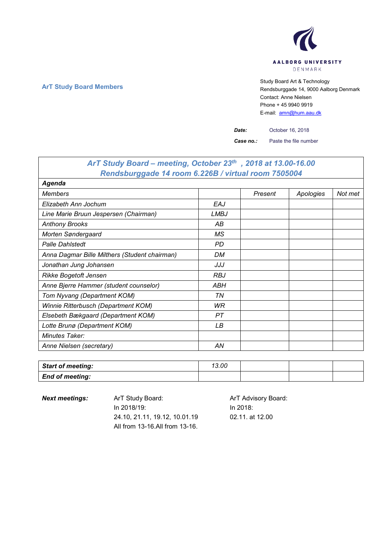

**ArT Study Board Members** Study Board Art & Technology **Art Study Board Art & Technology** Rendsburggade 14, 9000 Aalborg Denmark Contact: Anne Nielsen Phone + 45 9940 9919 E-mail: [amn@hum.aau.dk](mailto:amn@hum.aau.dk)

*Date:* October 16, 2018

*Case no.:* Paste the file number

## *ArT Study Board – meeting, October 23th , 2018 at 13.00-16.00 Rendsburggade 14 room 6.226B / virtual room 7505004 Agenda Members Present Apologies Not met Elizabeth Ann Jochum EAJ Line Marie Bruun Jespersen (Chairman) LMBJ Anthony Brooks AB Morten Søndergaard MS Palle Dahlstedt PD Anna Dagmar Bille Milthers (Student chairman) DM Jonathan Jung Johansen JJJ* **Rikke Bogetoft Jensen RBJ** *Anne Bjerre Hammer (student counselor) ABH Tom Nyvang (Department KOM) TN Winnie Ritterbusch (Department KOM) WR Elsebeth Bækgaard (Department KOM) PT Lotte Brunø (Department KOM) LB Minutes Taker: Anne Nielsen (secretary)* AN

| <b>Start of meeting:</b> | 13.00 |  |  |
|--------------------------|-------|--|--|
| <b>End of meeting:</b>   |       |  |  |

**Next meetings:** Art Study Board: Art Advisory Board: In 2018/19: 24.10, 21.11, 19.12, 10.01.19 All from 13-16.All from 13-16. In 2018:

02.11. at 12.00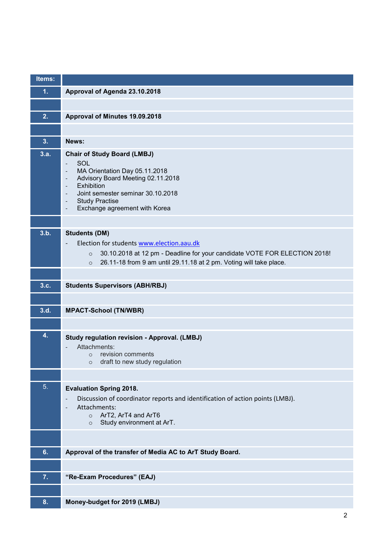| Items: |                                                                                                                                                                                                                                                                                                                                                                                                                                  |
|--------|----------------------------------------------------------------------------------------------------------------------------------------------------------------------------------------------------------------------------------------------------------------------------------------------------------------------------------------------------------------------------------------------------------------------------------|
| 1.     | Approval of Agenda 23.10.2018                                                                                                                                                                                                                                                                                                                                                                                                    |
|        |                                                                                                                                                                                                                                                                                                                                                                                                                                  |
| 2.     | Approval of Minutes 19.09.2018                                                                                                                                                                                                                                                                                                                                                                                                   |
|        |                                                                                                                                                                                                                                                                                                                                                                                                                                  |
| 3.     | News:                                                                                                                                                                                                                                                                                                                                                                                                                            |
| 3.a.   | <b>Chair of Study Board (LMBJ)</b><br>SOL<br>$\overline{\phantom{a}}$<br>MA Orientation Day 05.11.2018<br>$\overline{\phantom{a}}$<br>Advisory Board Meeting 02.11.2018<br>$\overline{\phantom{a}}$<br>Exhibition<br>$\overline{\phantom{a}}$<br>Joint semester seminar 30.10.2018<br>$\overline{\phantom{a}}$<br><b>Study Practise</b><br>$\overline{\phantom{a}}$<br>Exchange agreement with Korea<br>$\overline{\phantom{a}}$ |
|        |                                                                                                                                                                                                                                                                                                                                                                                                                                  |
| 3.b.   | <b>Students (DM)</b><br>Election for students www.election.aau.dk<br>30.10.2018 at 12 pm - Deadline for your candidate VOTE FOR ELECTION 2018!<br>$\circ$<br>26.11-18 from 9 am until 29.11.18 at 2 pm. Voting will take place.<br>$\circ$                                                                                                                                                                                       |
|        |                                                                                                                                                                                                                                                                                                                                                                                                                                  |
| 3.c.   | <b>Students Supervisors (ABH/RBJ)</b>                                                                                                                                                                                                                                                                                                                                                                                            |
|        |                                                                                                                                                                                                                                                                                                                                                                                                                                  |
| 3.d.   | <b>MPACT-School (TN/WBR)</b>                                                                                                                                                                                                                                                                                                                                                                                                     |
|        |                                                                                                                                                                                                                                                                                                                                                                                                                                  |
| 4.     | Study regulation revision - Approval. (LMBJ)<br>Attachments:<br>o revision comments<br>draft to new study regulation<br>$\circ$                                                                                                                                                                                                                                                                                                  |
|        |                                                                                                                                                                                                                                                                                                                                                                                                                                  |
| 5.     | <b>Evaluation Spring 2018.</b><br>Discussion of coordinator reports and identification of action points (LMBJ).<br>$\overline{\phantom{a}}$<br>Attachments:<br>ArT2, ArT4 and ArT6<br>$\circ$<br>Study environment at ArT.<br>$\circ$                                                                                                                                                                                            |
|        |                                                                                                                                                                                                                                                                                                                                                                                                                                  |
| 6.     | Approval of the transfer of Media AC to ArT Study Board.                                                                                                                                                                                                                                                                                                                                                                         |
|        |                                                                                                                                                                                                                                                                                                                                                                                                                                  |
| 7.     | "Re-Exam Procedures" (EAJ)                                                                                                                                                                                                                                                                                                                                                                                                       |
|        |                                                                                                                                                                                                                                                                                                                                                                                                                                  |
| 8.     | Money-budget for 2019 (LMBJ)                                                                                                                                                                                                                                                                                                                                                                                                     |